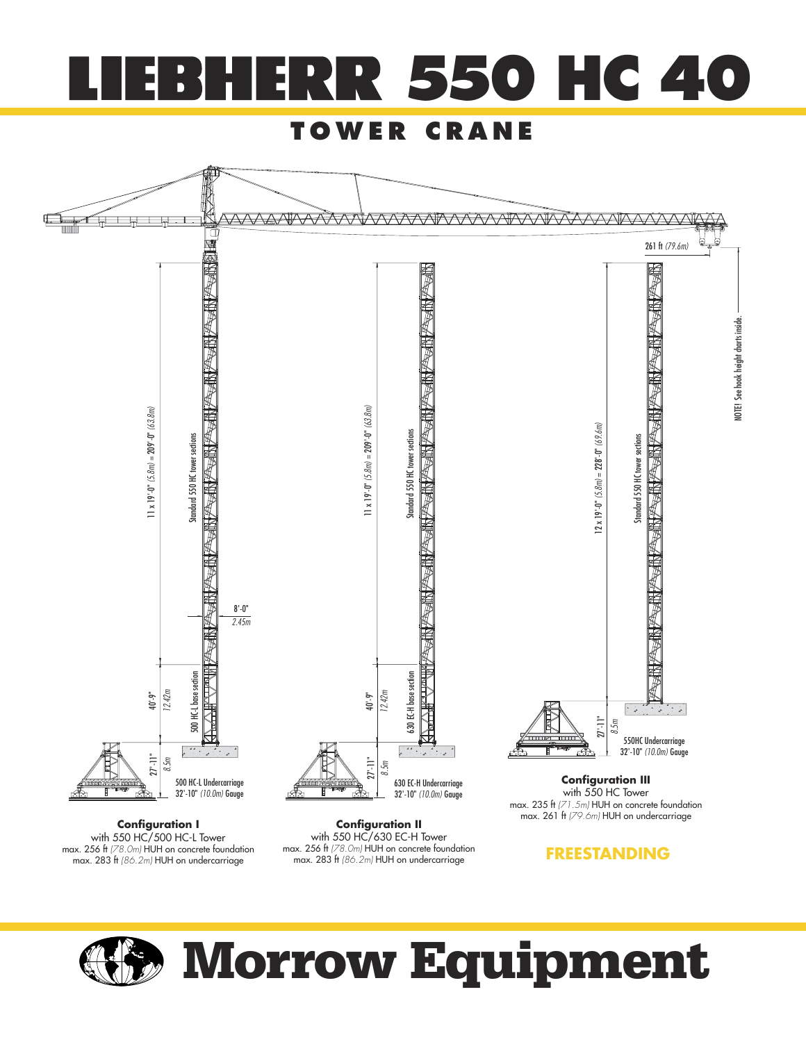

#### **TOWER CRANE**



**Configuration I** with 550 HC/500 HC-L Tower max. 256 ft (78.0m) HUH on concrete foundation<br>max. 283 ft (86.2m) HUH on undercarriage

with 550 HC/630 EC-H Tower max. 256 ft (78.0m) HUH on concrete foundation max. 283 ft (86.2m) HUH on undercarriage

**FREESTANDING**



# **Morrow Equipment**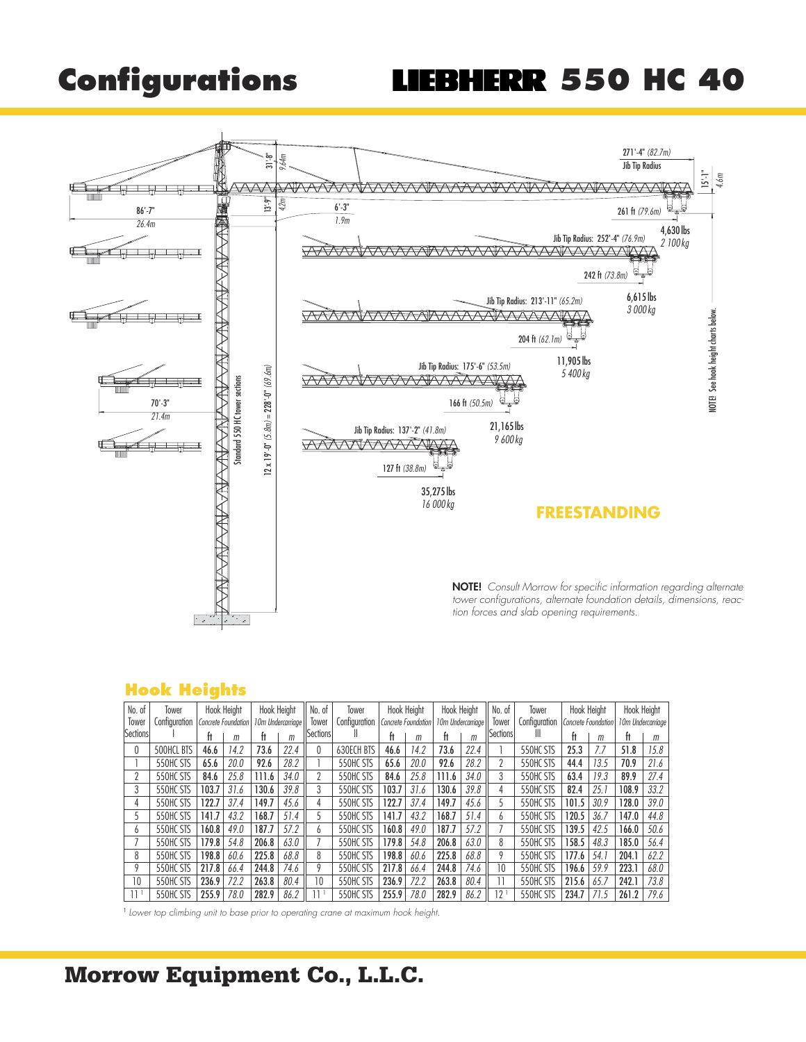# **Configurations LIEBHERR 550 HC 40**



#### **Hook Heights**

| No. of          | Tower         |       | <b>Hook Height</b>  | Hook Height |                   | No. of           | Tower             |       | <b>Hook Height</b>  | <b>Hook Height</b> |                   | No. of    | Tower         |       | Hook Height         |       | <b>Hook Height</b> |  |
|-----------------|---------------|-------|---------------------|-------------|-------------------|------------------|-------------------|-------|---------------------|--------------------|-------------------|-----------|---------------|-------|---------------------|-------|--------------------|--|
| Tower           | Confiauration |       | Concrete Foundation |             | 10m Undercarriage | Tower            | Configuration     |       | Concrete Foundation |                    | 10m Undercarriage | Tower     | Configuration |       | Concrete Foundation |       | 10m Undercarriage  |  |
| <b>Sections</b> |               | ft    | m                   | Ħ           | m                 | <b>Sectionsl</b> |                   |       | m                   | ft                 | m                 | Sectionsl | Ш             | ft    | m                   | Ħ     | m                  |  |
| 0               | 500HCL BTS    | 46.6  | 14.2                | 73.6        | 22.4              |                  | <b>630ECH BTS</b> | 46.6  | 14.2                | 73.6               | 22.4              |           | 550HC STS     | 25.3  | 7.7                 | 51.8  | 15.8               |  |
|                 | 550HC STS     | 65.6  | 20.0                | 92.6        | 28.2              |                  | 550HC STS         | 65.6  | 20.0                | 92.6               | 28.2              |           | 550HC STS     | 44.4  | 13.5                | 70.9  | 21.6               |  |
| ŋ               | 550HC STS     | 84.6  | 25.8                | 111.6       | 34.0              |                  | 550HC STS         | 84.6  | 25.8                | 111.6              | 34.0              | 3         | 550HC STS     | 63.4  | 19.3                | 89.9  | 27.4               |  |
| 3               | 550HC STS     | 103.7 | 31.6                | 130.6       | 39.8              | 3                | 550HC STS         | 103.7 | 31.6                | 130.6              | 39.8              | 4         | 550HC STS     | 82.4  | 25.1                | 108.9 | 33.2               |  |
| 4               | 550HC STS     | 122.7 | 37.4                | 149.7       | 45.6              |                  | 550HC STS         | 122.7 | 37.4                | 149.7              | 45.6              | ጎ         | 550HC STS     | 101.5 | 30.9                | 128.0 | 39.0               |  |
| 5               | 550HC STS     | 141.7 | 43.2                | 168.7       | 51.4              |                  | 550HC STS         | 141.7 | 43.2                | 168.7              | 51.4              | h         | 550HC STS     | 120.5 | 36.7                | 147.0 | 44.8               |  |
| 6               | 550HC STS     | 160.8 | 49.0                | 187.7       | 57.2              | h.               | 550HC STS         | 160.8 | 49.0                | 187.7              | 57.2              |           | 550HC STS     | 139.5 | 42.5                | 166.0 | 50.6               |  |
|                 | 550HC STS     | 179.8 | 54.8                | 206.8       | 63.0              |                  | 550HC STS         | 179.8 | 54.8                | 206.8              | 63.0              | 8         | 550HC STS     | 158.5 | 48.3                | 185.0 | 56.4               |  |
| 8               | 550HC STS     | 198.8 | 60.6                | 225.8       | 68.8              | 8                | 550HC STS         | 198.8 | 60.6                | 225.8              | 68.8              | 9         | 550HC STS     | 177.6 | 54.1                | 204.1 | 62.2               |  |
| Q               | 550HC STS     | 217.8 | 66.4                | 244.8       | 74.6              | Q                | 550HC STS         | 217.8 | 66.4                | 244.8              | 74.6              | 10        | 550HC STS     | 196.6 | 59.9                | 223.1 | 68.0               |  |
| 10              | 550HC STS     | 236.9 | 72.2                | 263.8       | 80.4              | 10               | 550HC STS         | 236.9 | 72.2                | 263.8              | 80.4              |           | 550HC STS     | 215.6 | 65.7                | 242.1 | 73.8               |  |
| 11 1            | 550HC STS     | 255.9 | 78.0                | 282.9       | 86.2              |                  | 550HC STS         | 255.9 | 78.0                | 282.9              | 86.2              | $12 -$    | 550HC STS     | 234.7 | 71.5                | 261.2 | 79.6               |  |

<sup>1</sup> Lower top climbing unit to base prior to operating crane at maximum hook height.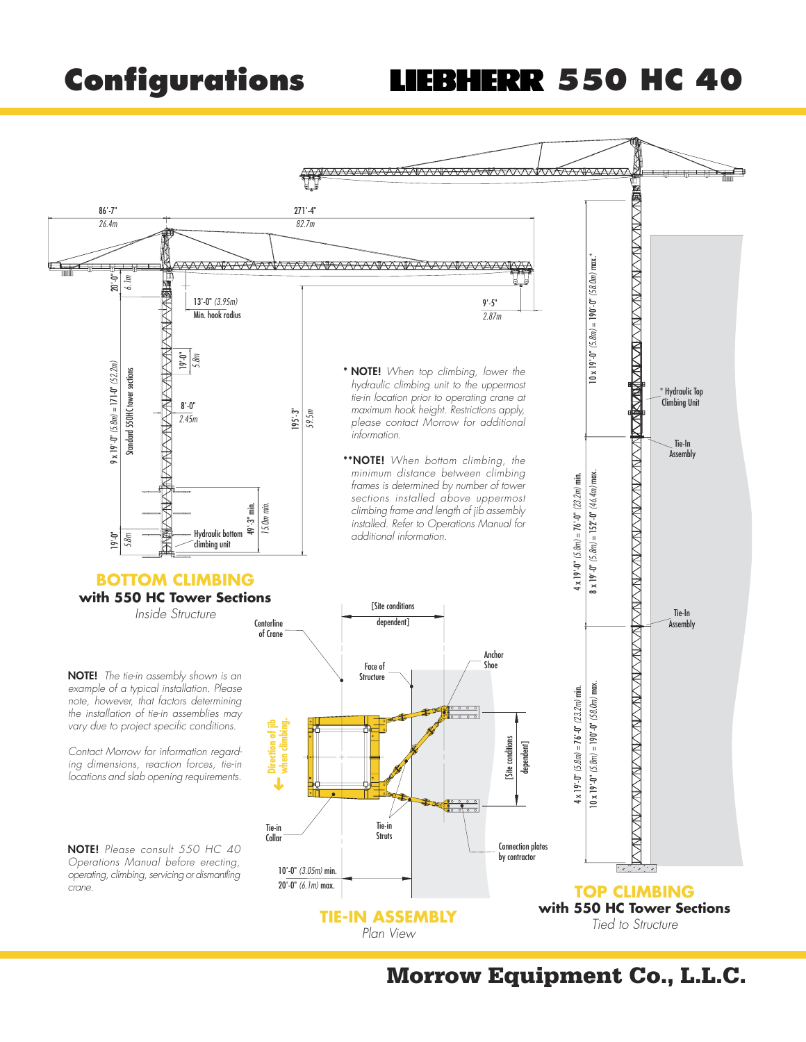# **Configurations LIEBHERR 550 HC 40**

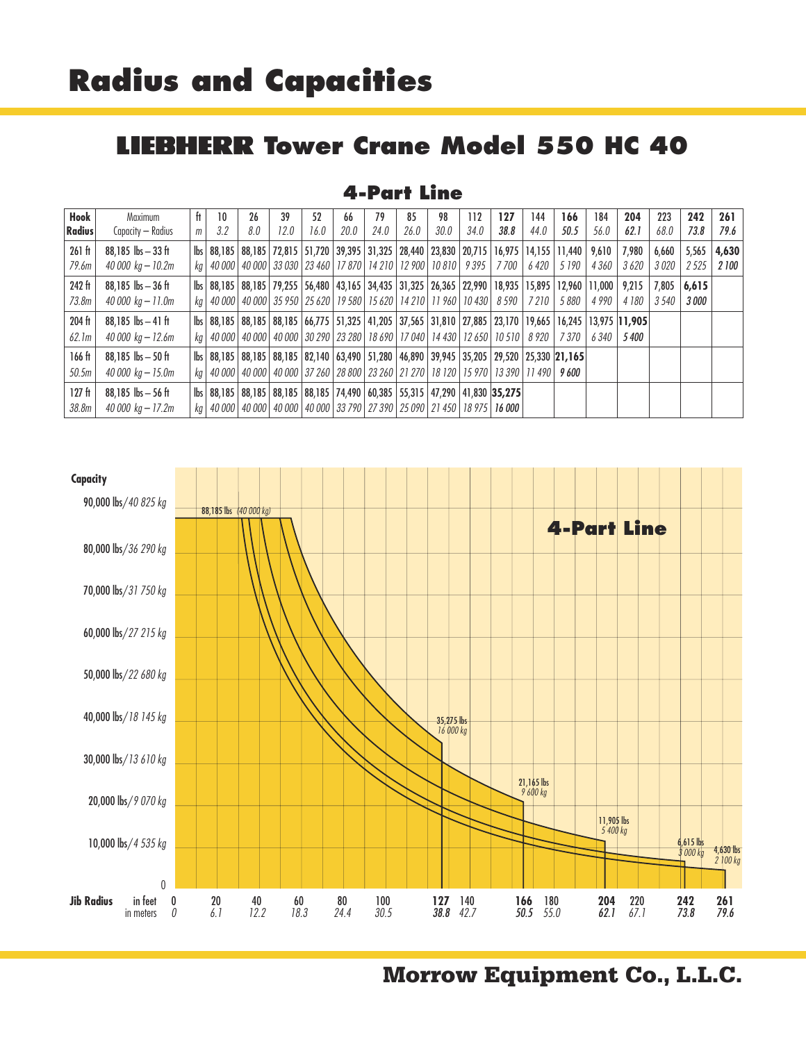### **LIEBHERR Tower Crane Model 550 HC 40**

#### **4-Part Line**

| Hook<br><b>Radius</b>       | Maximum<br>Capacity — Radius                 | ft<br>m | 10<br>3.2   | 26<br>8.0 | 39<br>12.0 | 52<br>16.0 | 66<br>20.0 | 79<br>24.0 | 85<br>26.0 | 98<br>30.0                                                                                                                                                                                                                   | 112<br>34.0 | 127<br>38.8 | 144<br>44.0 | 166<br>50.5 | 184<br>56.0 | 204<br>62.1                                                                                                  | 223<br>68.0    | 242<br>73.8           | 261<br>79.6   |
|-----------------------------|----------------------------------------------|---------|-------------|-----------|------------|------------|------------|------------|------------|------------------------------------------------------------------------------------------------------------------------------------------------------------------------------------------------------------------------------|-------------|-------------|-------------|-------------|-------------|--------------------------------------------------------------------------------------------------------------|----------------|-----------------------|---------------|
| $261$ ft<br>79.6m           | $88,185$ lbs $-33$ ft<br>40 000 kg – 10.2m   |         |             |           |            |            |            |            |            | lbs   88,185   88,185   72,815   51,720   39,395   31,325   28,440   23,830   20,715   16,975   14,155   11,440   9,610  <br>kg   40 000   40 000   33 030   23 460   17 870   14 210   12 900   10 810   9 395              |             | 7 700       | 6 420       | 5 1 9 0     | 4360        | 7,980<br>3620                                                                                                | 6.660<br>3020  | 5,565<br>2525         | 4,630<br>2100 |
| 242 ft<br>73.8 <sub>m</sub> | $88,185$ lbs $-36$ ft<br>40 000 kg – 11.0m   |         |             |           |            |            |            |            |            | lbs 88,185 88,185 79,255 56,480 43,165 34,435 31,325 26,365 22,990 18,935 15,895 12,960 11,000 9,215<br>kg   40 000   40 000   35 950   25 620   19 580   15 620   14 210   11 960   10 430   8 590   7 210                  |             |             |             | 5 880       | 4 990       | 4 180                                                                                                        | 7.805<br>3 540 | 6.615<br><i>3 000</i> |               |
| 204 ft<br>62.1m             | $88,185$ lbs $-41$ ft<br>40 000 kg – 12.6m   |         |             |           |            |            |            |            |            | kg   40 000   40 000   40 000   30 290   23 280   18 690   17 040   14 430   12 650   10 510   8 920                                                                                                                         |             |             |             | 7 370       | 6340        | bs 88,185 88,185 88,185 66,775 51,325 41,205 37,565 31,810 27,885 23,170 19,665 16,245 13,975 11,905<br>5400 |                |                       |               |
| $166$ ft<br>50.5m           | $88,185$ lbs $-50$ ft<br>40 000 kg – 15.0m   |         | ka   40 000 |           |            |            |            |            |            | bs   88,185   88,185   88,185   82,140   63,490   51,280   46,890   39,945   35,205   29,520   25,330   21,165  <br>  40 000   40 000   37 260   28 800   23 260   21 270   18 120   15 970   13 390   11 490   <b>9 600</b> |             |             |             |             |             |                                                                                                              |                |                       |               |
| 127 <sub>ft</sub><br>38.8m  | $88,185$ lbs $-56$ ft<br>40 000 $kg - 17.2m$ |         |             |           |            |            |            |            |            | lbs   88,185   88,185   88,185   88,185   74,490   60,385   55,315   47,290   41,830   35,275  <br>kg   40 000   40 000   40 000   40 000   33 790   27 390   25 090   21 450   18 975   16 000                              |             |             |             |             |             |                                                                                                              |                |                       |               |



**Morrow Equipment Co., L.L.C.**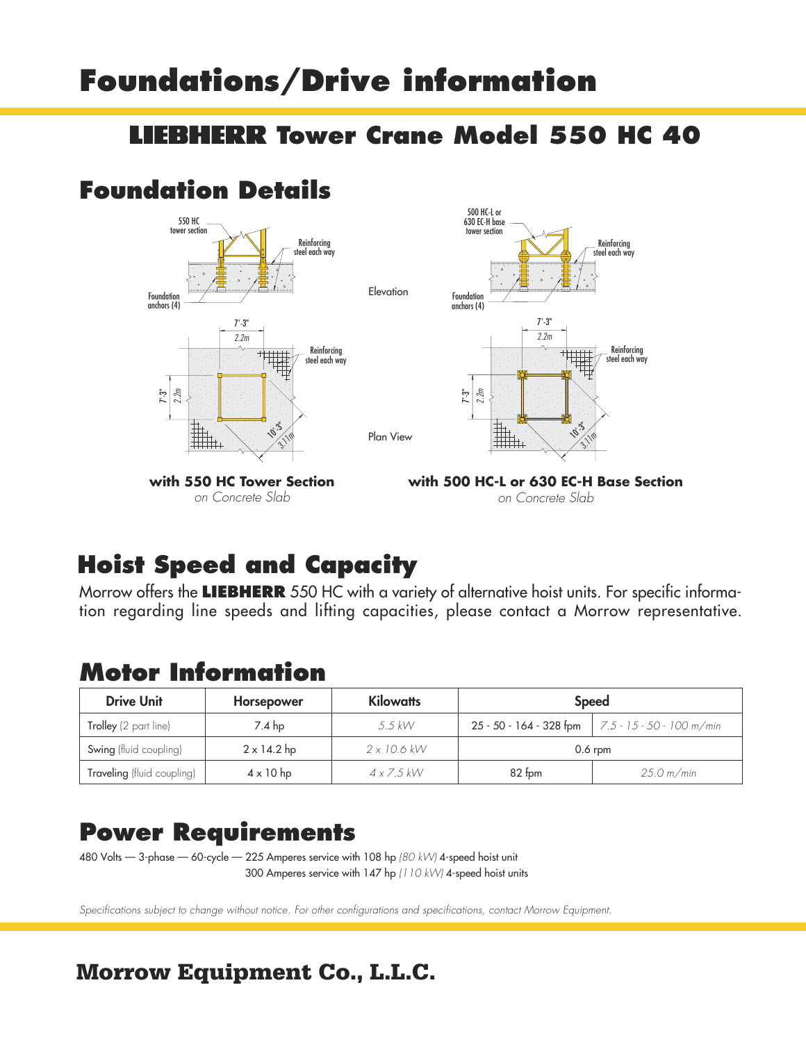# **Foundations/Drive information**

#### **Tower Crane Model 550 HC 40**

### **Foundation Details**



on Concrete Slab

**with 500 HC-L or 630 EC-H Base Section** on Concrete Slab

 $\hat{\mathcal{C}}$  $3.10$ 

7'-3" 2.2m

Reinforcing steel each way

> Reinforcing steel each way

## **Hoist Speed and Capacity**

Morrow offers the **LIEBHERR** 550 HC with a variety of alternative hoist units. For specific information regarding line speeds and lifting capacities, please contact a Morrow representative.

#### **Motor Information**

| <b>Drive Unit</b>          | Horsepower         | <b>Kilowatts</b>   | <b>Speed</b> |                                                           |  |  |  |
|----------------------------|--------------------|--------------------|--------------|-----------------------------------------------------------|--|--|--|
| Trolley (2 part line)      | $7.4$ hp           | $5.5$ kW           |              | 25 - 50 - 164 - 328 fpm $\vert$ 7.5 - 15 - 50 - 100 m/min |  |  |  |
| Swing (fluid coupling)     | $2 \times 14.2$ hp | $2 \times 10.6$ kW |              | $0.6$ rpm                                                 |  |  |  |
| Traveling (fluid coupling) | $4 \times 10$ hp   | $4 \times 7.5$ kW  | $82$ fom     | 25.0 m/min                                                |  |  |  |

#### **Power Requirements**

480 Volts — 3-phase — 60-cycle — 225 Amperes service with 108 hp (80 kW) 4-speed hoist unit 300 Amperes service with 147 hp (110 kW) 4-speed hoist units

Specifications subject to change without notice. For other configurations and specifications, contact Morrow Equipment.

### **Morrow Equipment Co., L.L.C.**